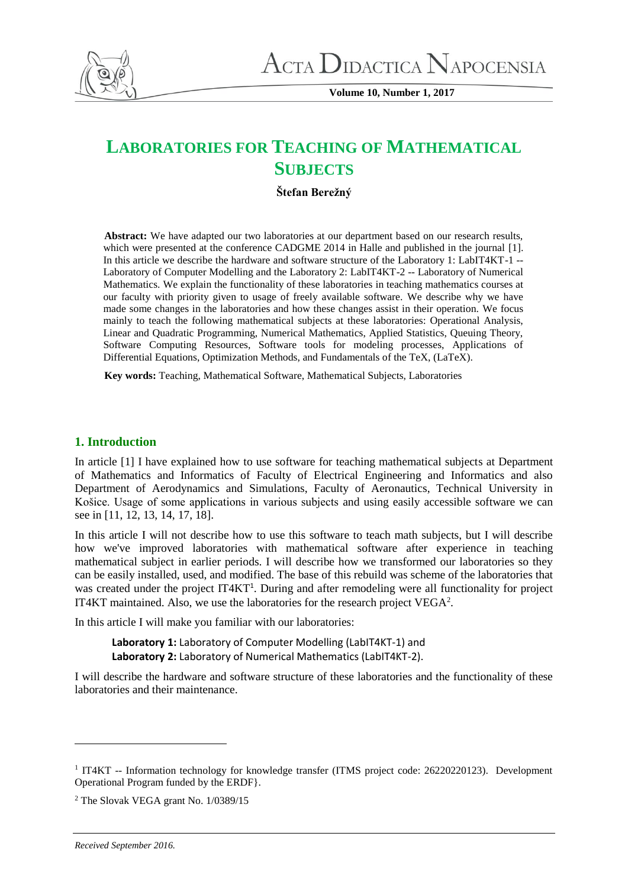

**Volume 10, Number 1, 2017**

# **LABORATORIES FOR TEACHING OF MATHEMATICAL SUBJECTS**

# **Štefan Berežný**

**Abstract:** We have adapted our two laboratories at our department based on our research results, which were presented at the conference CADGME 2014 in Halle and published in the journal [1]. In this article we describe the hardware and software structure of the Laboratory 1: LabIT4KT-1 -- Laboratory of Computer Modelling and the Laboratory 2: LabIT4KT-2 -- Laboratory of Numerical Mathematics. We explain the functionality of these laboratories in teaching mathematics courses at our faculty with priority given to usage of freely available software. We describe why we have made some changes in the laboratories and how these changes assist in their operation. We focus mainly to teach the following mathematical subjects at these laboratories: Operational Analysis, Linear and Quadratic Programming, Numerical Mathematics, Applied Statistics, Queuing Theory, Software Computing Resources, Software tools for modeling processes, Applications of Differential Equations, Optimization Methods, and Fundamentals of the TeX, (LaTeX).

**Key words:** Teaching, Mathematical Software, Mathematical Subjects, Laboratories

# **1. Introduction**

In article [1] I have explained how to use software for teaching mathematical subjects at Department of Mathematics and Informatics of Faculty of Electrical Engineering and Informatics and also Department of Aerodynamics and Simulations, Faculty of Aeronautics, Technical University in Košice. Usage of some applications in various subjects and using easily accessible software we can see in [11, 12, 13, 14, 17, 18].

In this article I will not describe how to use this software to teach math subjects, but I will describe how we've improved laboratories with mathematical software after experience in teaching mathematical subject in earlier periods. I will describe how we transformed our laboratories so they can be easily installed, used, and modified. The base of this rebuild was scheme of the laboratories that was created under the project IT4KT<sup>1</sup>. During and after remodeling were all functionality for project IT4KT maintained. Also, we use the laboratories for the research project  $VEGA<sup>2</sup>$ .

In this article I will make you familiar with our laboratories:

**Laboratory 1:** Laboratory of Computer Modelling (LabIT4KT-1) and **Laboratory 2:** Laboratory of Numerical Mathematics (LabIT4KT-2).

I will describe the hardware and software structure of these laboratories and the functionality of these laboratories and their maintenance.

 $\overline{\phantom{a}}$ 

<sup>&</sup>lt;sup>1</sup> IT4KT -- Information technology for knowledge transfer (ITMS project code: 26220220123). Development Operational Program funded by the ERDF}.

<sup>2</sup> The Slovak VEGA grant No. 1/0389/15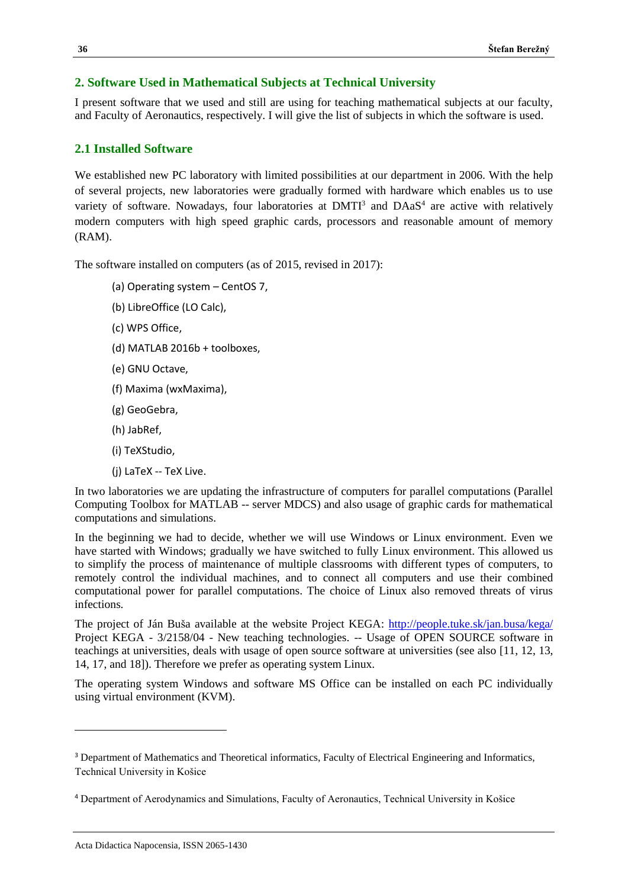# **2. Software Used in Mathematical Subjects at Technical University**

I present software that we used and still are using for teaching mathematical subjects at our faculty, and Faculty of Aeronautics, respectively. I will give the list of subjects in which the software is used.

# **2.1 Installed Software**

We established new PC laboratory with limited possibilities at our department in 2006. With the help of several projects, new laboratories were gradually formed with hardware which enables us to use variety of software. Nowadays, four laboratories at  $DMTI<sup>3</sup>$  and  $DAaS<sup>4</sup>$  are active with relatively modern computers with high speed graphic cards, processors and reasonable amount of memory (RAM).

The software installed on computers (as of 2015, revised in 2017):

- (a) Operating system CentOS 7,
- (b) LibreOffice (LO Calc),
- (c) WPS Office,
- (d) MATLAB 2016b + toolboxes,
- (e) GNU Octave,
- (f) Maxima (wxMaxima),
- (g) GeoGebra,
- (h) JabRef,
- (i) TeXStudio,
- (j) LaTeX -- TeX Live.

In two laboratories we are updating the infrastructure of computers for parallel computations (Parallel Computing Toolbox for MATLAB -- server MDCS) and also usage of graphic cards for mathematical computations and simulations.

In the beginning we had to decide, whether we will use Windows or Linux environment. Even we have started with Windows; gradually we have switched to fully Linux environment. This allowed us to simplify the process of maintenance of multiple classrooms with different types of computers, to remotely control the individual machines, and to connect all computers and use their combined computational power for parallel computations. The choice of Linux also removed threats of virus infections.

The project of Ján Buša available at the website Project KEGA: <http://people.tuke.sk/jan.busa/kega/> Project KEGA - 3/2158/04 - New teaching technologies. -- Usage of OPEN SOURCE software in teachings at universities, deals with usage of open source software at universities (see also [11, 12, 13, 14, 17, and 18]). Therefore we prefer as operating system Linux.

The operating system Windows and software MS Office can be installed on each PC individually using virtual environment (KVM).

 $\overline{a}$ 

<sup>3</sup> Department of Mathematics and Theoretical informatics, Faculty of Electrical Engineering and Informatics, Technical University in Košice

<sup>4</sup> Department of Aerodynamics and Simulations, Faculty of Aeronautics, Technical University in Košice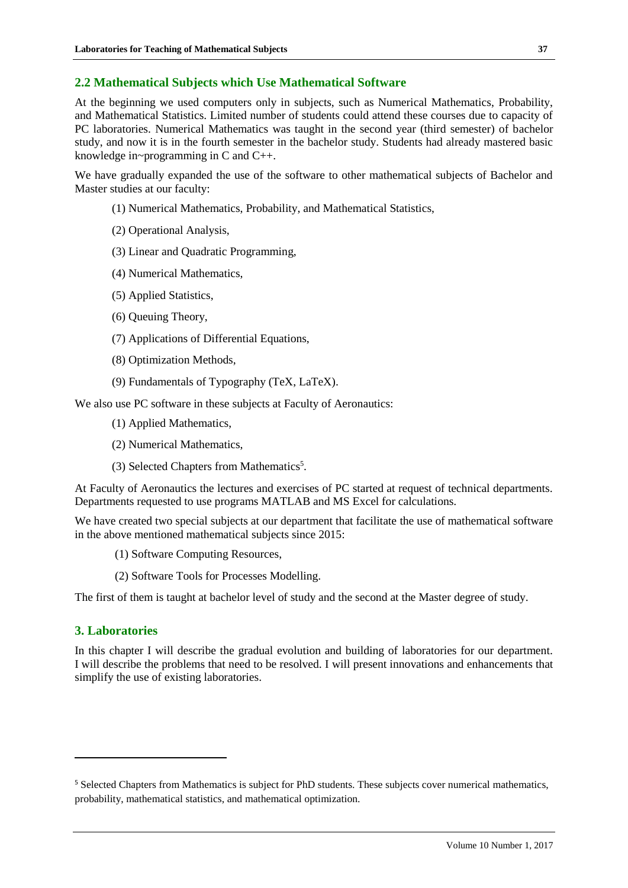# **2.2 Mathematical Subjects which Use Mathematical Software**

At the beginning we used computers only in subjects, such as Numerical Mathematics, Probability, and Mathematical Statistics. Limited number of students could attend these courses due to capacity of PC laboratories. Numerical Mathematics was taught in the second year (third semester) of bachelor study, and now it is in the fourth semester in the bachelor study. Students had already mastered basic knowledge in~programming in C and C++.

We have gradually expanded the use of the software to other mathematical subjects of Bachelor and Master studies at our faculty:

- (1) Numerical Mathematics, Probability, and Mathematical Statistics,
- (2) Operational Analysis,
- (3) Linear and Quadratic Programming,
- (4) Numerical Mathematics,
- (5) Applied Statistics,
- (6) Queuing Theory,
- (7) Applications of Differential Equations,
- (8) Optimization Methods,
- (9) Fundamentals of Typography (TeX, LaTeX).

We also use PC software in these subjects at Faculty of Aeronautics:

- (1) Applied Mathematics,
- (2) Numerical Mathematics,
- (3) Selected Chapters from Mathematics<sup>5</sup>.

At Faculty of Aeronautics the lectures and exercises of PC started at request of technical departments. Departments requested to use programs MATLAB and MS Excel for calculations.

We have created two special subjects at our department that facilitate the use of mathematical software in the above mentioned mathematical subjects since 2015:

- (1) Software Computing Resources,
- (2) Software Tools for Processes Modelling.

The first of them is taught at bachelor level of study and the second at the Master degree of study.

# **3. Laboratories**

l

In this chapter I will describe the gradual evolution and building of laboratories for our department. I will describe the problems that need to be resolved. I will present innovations and enhancements that simplify the use of existing laboratories.

<sup>5</sup> Selected Chapters from Mathematics is subject for PhD students. These subjects cover numerical mathematics, probability, mathematical statistics, and mathematical optimization.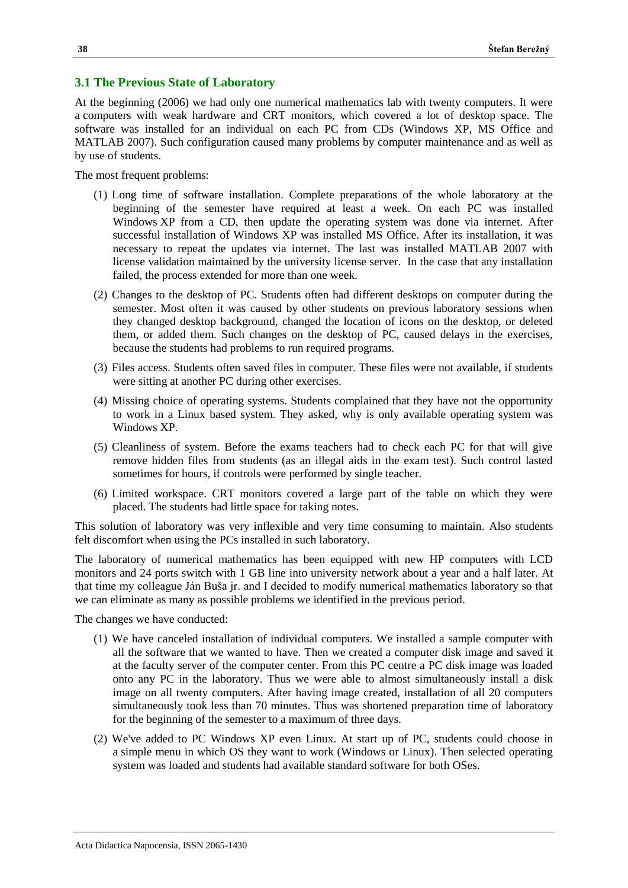# **3.1 The Previous State of Laboratory**

At the beginning (2006) we had only one numerical mathematics lab with twenty computers. It were a computers with weak hardware and CRT monitors, which covered a lot of desktop space. The software was installed for an individual on each PC from CDs (Windows XP, MS Office and MATLAB 2007). Such configuration caused many problems by computer maintenance and as well as by use of students.

The most frequent problems:

- (1) Long time of software installation. Complete preparations of the whole laboratory at the beginning of the semester have required at least a week. On each PC was installed Windows XP from a CD, then update the operating system was done via internet. After successful installation of Windows XP was installed MS Office. After its installation, it was necessary to repeat the updates via internet. The last was installed MATLAB 2007 with license validation maintained by the university license server. In the case that any installation failed, the process extended for more than one week.
- (2) Changes to the desktop of PC. Students often had different desktops on computer during the semester. Most often it was caused by other students on previous laboratory sessions when they changed desktop background, changed the location of icons on the desktop, or deleted them, or added them. Such changes on the desktop of PC, caused delays in the exercises, because the students had problems to run required programs.
- (3) Files access. Students often saved files in computer. These files were not available, if students were sitting at another PC during other exercises.
- (4) Missing choice of operating systems. Students complained that they have not the opportunity to work in a Linux based system. They asked, why is only available operating system was Windows XP.
- (5) Cleanliness of system. Before the exams teachers had to check each PC for that will give remove hidden files from students (as an illegal aids in the exam test). Such control lasted sometimes for hours, if controls were performed by single teacher.
- (6) Limited workspace. CRT monitors covered a large part of the table on which they were placed. The students had little space for taking notes.

This solution of laboratory was very inflexible and very time consuming to maintain. Also students felt discomfort when using the PCs installed in such laboratory.

The laboratory of numerical mathematics has been equipped with new HP computers with LCD monitors and 24 ports switch with 1 GB line into university network about a year and a half later. At that time my colleague Ján Buša jr. and I decided to modify numerical mathematics laboratory so that we can eliminate as many as possible problems we identified in the previous period.

The changes we have conducted:

- (1) We have canceled installation of individual computers. We installed a sample computer with all the software that we wanted to have. Then we created a computer disk image and saved it at the faculty server of the computer center. From this PC centre a PC disk image was loaded onto any PC in the laboratory. Thus we were able to almost simultaneously install a disk image on all twenty computers. After having image created, installation of all 20 computers simultaneously took less than 70 minutes. Thus was shortened preparation time of laboratory for the beginning of the semester to a maximum of three days.
- (2) We've added to PC Windows XP even Linux. At start up of PC, students could choose in a simple menu in which OS they want to work (Windows or Linux). Then selected operating system was loaded and students had available standard software for both OSes.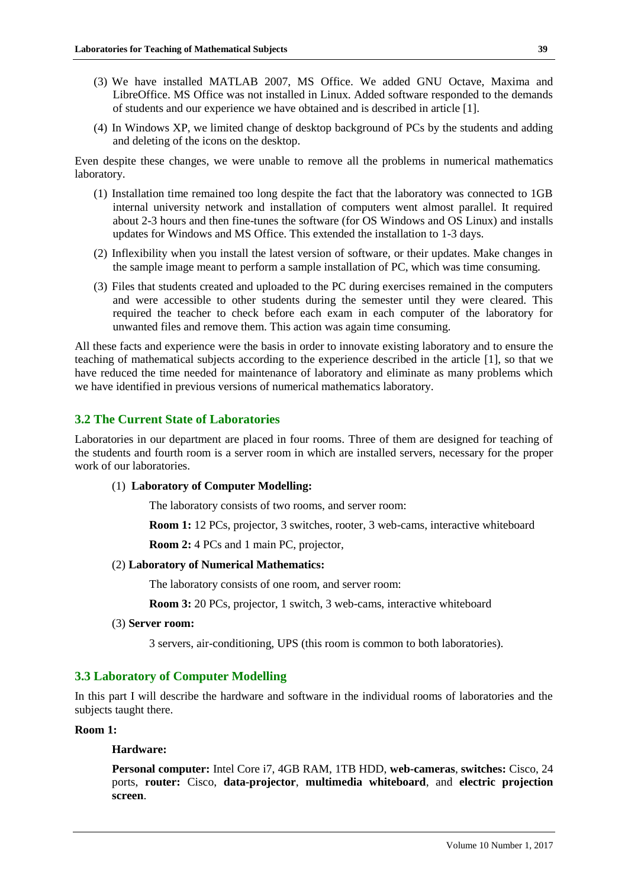- (3) We have installed MATLAB 2007, MS Office. We added GNU Octave, Maxima and LibreOffice. MS Office was not installed in Linux. Added software responded to the demands of students and our experience we have obtained and is described in article [1].
- (4) In Windows XP, we limited change of desktop background of PCs by the students and adding and deleting of the icons on the desktop.

Even despite these changes, we were unable to remove all the problems in numerical mathematics laboratory.

- (1) Installation time remained too long despite the fact that the laboratory was connected to 1GB internal university network and installation of computers went almost parallel. It required about 2-3 hours and then fine-tunes the software (for OS Windows and OS Linux) and installs updates for Windows and MS Office. This extended the installation to 1-3 days.
- (2) Inflexibility when you install the latest version of software, or their updates. Make changes in the sample image meant to perform a sample installation of PC, which was time consuming.
- (3) Files that students created and uploaded to the PC during exercises remained in the computers and were accessible to other students during the semester until they were cleared. This required the teacher to check before each exam in each computer of the laboratory for unwanted files and remove them. This action was again time consuming.

All these facts and experience were the basis in order to innovate existing laboratory and to ensure the teaching of mathematical subjects according to the experience described in the article [1], so that we have reduced the time needed for maintenance of laboratory and eliminate as many problems which we have identified in previous versions of numerical mathematics laboratory.

# **3.2 The Current State of Laboratories**

Laboratories in our department are placed in four rooms. Three of them are designed for teaching of the students and fourth room is a server room in which are installed servers, necessary for the proper work of our laboratories.

#### (1) **Laboratory of Computer Modelling:**

The laboratory consists of two rooms, and server room:

**Room 1:** 12 PCs, projector, 3 switches, rooter, 3 web-cams, interactive whiteboard

**Room 2:** 4 PCs and 1 main PC, projector,

#### (2) **Laboratory of Numerical Mathematics:**

The laboratory consists of one room, and server room:

**Room 3:** 20 PCs, projector, 1 switch, 3 web-cams, interactive whiteboard

(3) **Server room:**

3 servers, air-conditioning, UPS (this room is common to both laboratories).

# **3.3 Laboratory of Computer Modelling**

In this part I will describe the hardware and software in the individual rooms of laboratories and the subjects taught there.

# **Room 1:**

# **Hardware:**

**Personal computer:** Intel Core i7, 4GB RAM, 1TB HDD, **web-cameras**, **switches:** Cisco, 24 ports, **router:** Cisco, **data-projector**, **multimedia whiteboard**, and **electric projection screen**.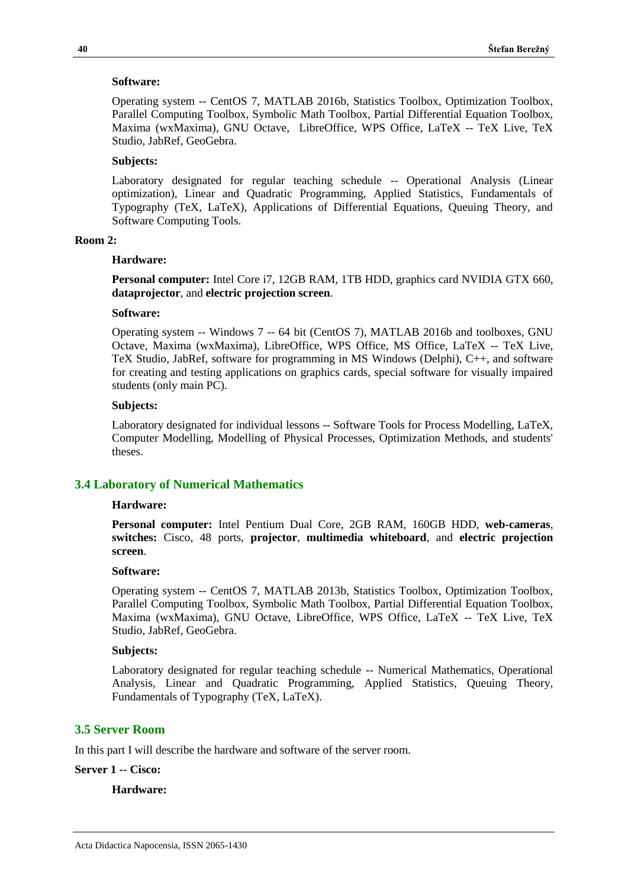#### **Software:**

Operating system -- CentOS 7, MATLAB 2016b, Statistics Toolbox, Optimization Toolbox, Parallel Computing Toolbox, Symbolic Math Toolbox, Partial Differential Equation Toolbox, Maxima (wxMaxima), GNU Octave, LibreOffice, WPS Office, LaTeX -- TeX Live, TeX Studio, JabRef, GeoGebra.

#### **Subjects:**

Laboratory designated for regular teaching schedule -- Operational Analysis (Linear optimization), Linear and Quadratic Programming, Applied Statistics, Fundamentals of Typography (TeX, LaTeX), Applications of Differential Equations, Queuing Theory, and Software Computing Tools.

#### **Room 2:**

#### **Hardware:**

**Personal computer:** Intel Core i7, 12GB RAM, 1TB HDD, graphics card NVIDIA GTX 660, **dataprojector**, and **electric projection screen**.

#### **Software:**

Operating system -- Windows 7 -- 64 bit (CentOS 7), MATLAB 2016b and toolboxes, GNU Octave, Maxima (wxMaxima), LibreOffice, WPS Office, MS Office, LaTeX -- TeX Live, TeX Studio, JabRef, software for programming in MS Windows (Delphi), C++, and software for creating and testing applications on graphics cards, special software for visually impaired students (only main PC).

# **Subjects:**

Laboratory designated for individual lessons -- Software Tools for Process Modelling, LaTeX, Computer Modelling, Modelling of Physical Processes, Optimization Methods, and students' theses.

#### **3.4 Laboratory of Numerical Mathematics**

#### **Hardware:**

**Personal computer:** Intel Pentium Dual Core, 2GB RAM, 160GB HDD, **web-cameras**, **switches:** Cisco, 48 ports, **projector**, **multimedia whiteboard**, and **electric projection screen**.

#### **Software:**

Operating system -- CentOS 7, MATLAB 2013b, Statistics Toolbox, Optimization Toolbox, Parallel Computing Toolbox, Symbolic Math Toolbox, Partial Differential Equation Toolbox, Maxima (wxMaxima), GNU Octave, LibreOffice, WPS Office, LaTeX -- TeX Live, TeX Studio, JabRef, GeoGebra.

## **Subjects:**

Laboratory designated for regular teaching schedule -- Numerical Mathematics, Operational Analysis, Linear and Quadratic Programming, Applied Statistics, Queuing Theory, Fundamentals of Typography (TeX, LaTeX).

## **3.5 Server Room**

In this part I will describe the hardware and software of the server room.

#### **Server 1 -- Cisco:**

## **Hardware:**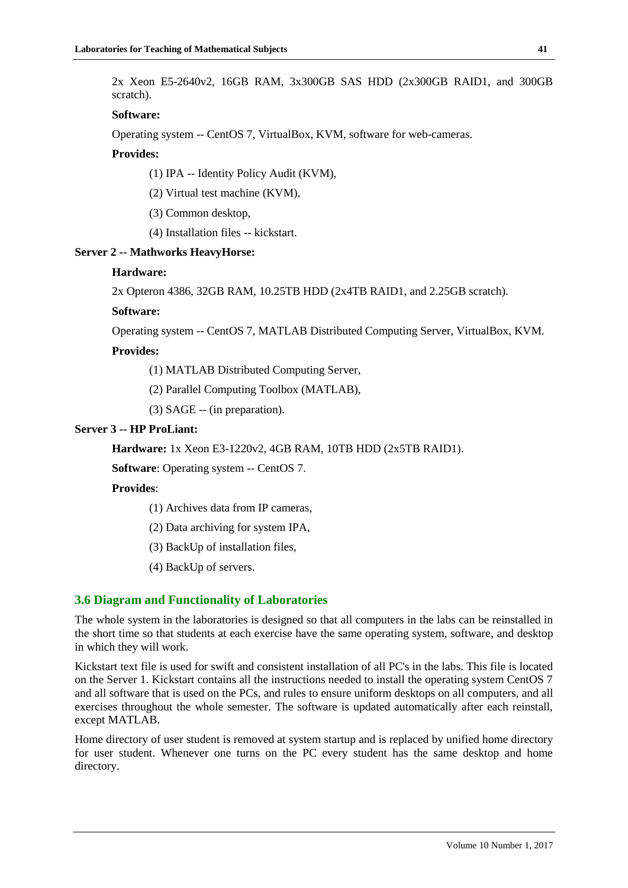2x Xeon E5-2640v2, 16GB RAM, 3x300GB SAS HDD (2x300GB RAID1, and 300GB scratch).

# **Software:**

Operating system -- CentOS 7, VirtualBox, KVM, software for web-cameras.

# **Provides:**

(1) IPA -- Identity Policy Audit (KVM),

(2) Virtual test machine (KVM),

(3) Common desktop,

(4) Installation files -- kickstart.

# **Server 2 -- Mathworks HeavyHorse:**

# **Hardware:**

2x Opteron 4386, 32GB RAM, 10.25TB HDD (2x4TB RAID1, and 2.25GB scratch).

# **Software:**

Operating system -- CentOS 7, MATLAB Distributed Computing Server, VirtualBox, KVM.

# **Provides:**

(1) MATLAB Distributed Computing Server,

(2) Parallel Computing Toolbox (MATLAB),

(3) SAGE -- (in preparation).

# **Server 3 -- HP ProLiant:**

**Hardware:** 1x Xeon E3-1220v2, 4GB RAM, 10TB HDD (2x5TB RAID1).

**Software**: Operating system -- CentOS 7.

# **Provides**:

(1) Archives data from IP cameras,

(2) Data archiving for system IPA,

(3) BackUp of installation files,

(4) BackUp of servers.

# **3.6 Diagram and Functionality of Laboratories**

The whole system in the laboratories is designed so that all computers in the labs can be reinstalled in the short time so that students at each exercise have the same operating system, software, and desktop in which they will work.

Kickstart text file is used for swift and consistent installation of all PC's in the labs. This file is located on the Server 1. Kickstart contains all the instructions needed to install the operating system CentOS 7 and all software that is used on the PCs, and rules to ensure uniform desktops on all computers, and all exercises throughout the whole semester. The software is updated automatically after each reinstall, except MATLAB.

Home directory of user student is removed at system startup and is replaced by unified home directory for user student. Whenever one turns on the PC every student has the same desktop and home directory.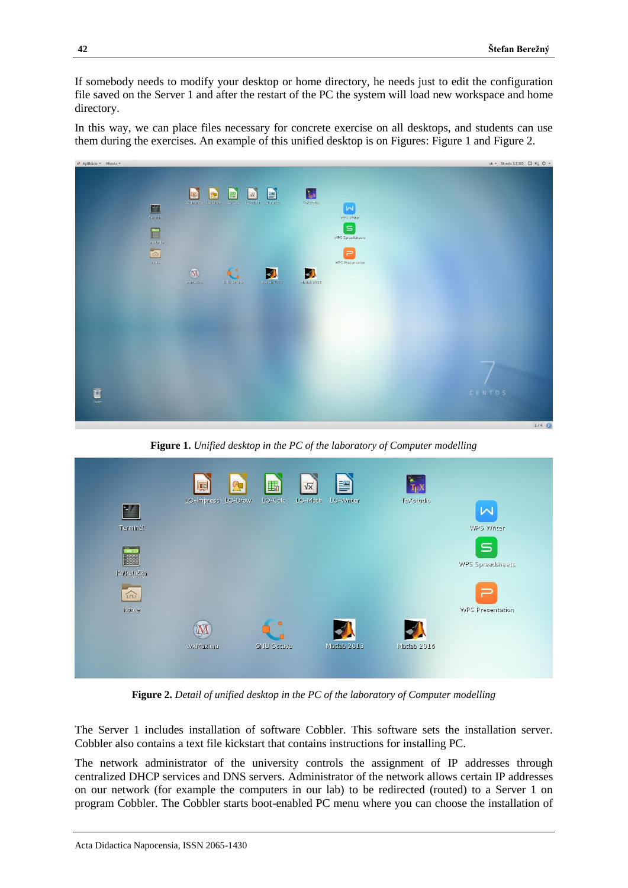If somebody needs to modify your desktop or home directory, he needs just to edit the configuration file saved on the Server 1 and after the restart of the PC the system will load new workspace and home directory.

In this way, we can place files necessary for concrete exercise on all desktops, and students can use them during the exercises. An example of this unified desktop is on Figures: Figure 1 and Figure 2.



**Figure 1.** *Unified desktop in the PC of the laboratory of Computer modelling*

|                     | $\mathfrak{R}$<br>婯 | 區                 | 膤<br>$\sqrt{x}$      | $T_{E}X$    |                         |
|---------------------|---------------------|-------------------|----------------------|-------------|-------------------------|
| $\frac{1}{2}$       | LO-Impress LO-Draw  | LO-Calc           | LO-Writer<br>LO-Math | TeXstudio   | ⋈                       |
| Terminál            |                     |                   |                      |             | WPS Writer              |
| -916                |                     |                   |                      |             | $\mathbf{S}$            |
| 88888<br>Kalkulačka |                     |                   |                      |             | WPS Spreadsheets        |
| 命                   |                     |                   |                      |             | Ξ                       |
| ement               |                     | o                 |                      |             | <b>WPS Presentation</b> |
|                     |                     |                   |                      |             |                         |
|                     | wxMaxima            | <b>GNU Octave</b> | Matlab 2013          | Matlab 2016 |                         |
|                     |                     |                   |                      |             |                         |

**Figure 2.** *Detail of unified desktop in the PC of the laboratory of Computer modelling*

The Server 1 includes installation of software Cobbler. This software sets the installation server. Cobbler also contains a text file kickstart that contains instructions for installing PC.

The network administrator of the university controls the assignment of IP addresses through centralized DHCP services and DNS servers. Administrator of the network allows certain IP addresses on our network (for example the computers in our lab) to be redirected (routed) to a Server 1 on program Cobbler. The Cobbler starts boot-enabled PC menu where you can choose the installation of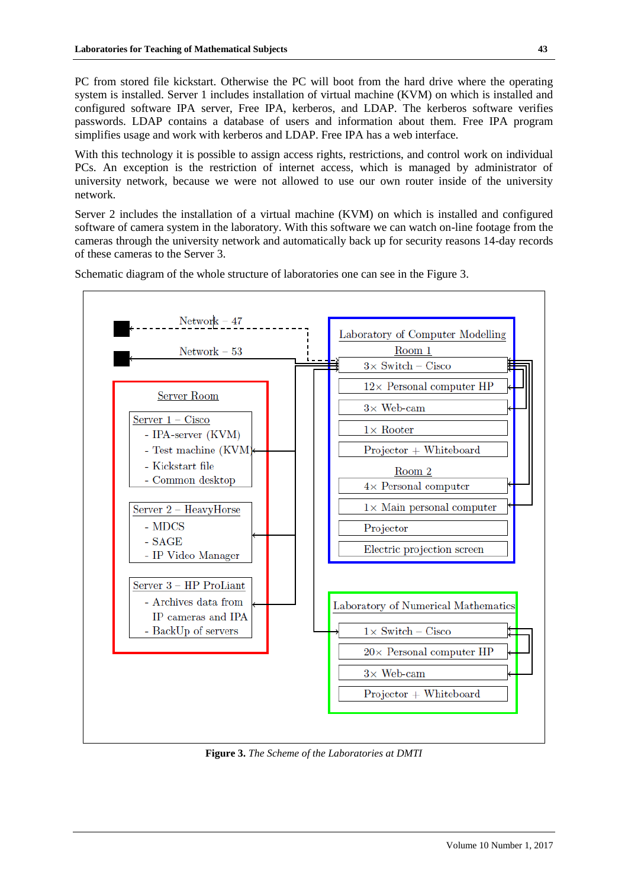PC from stored file kickstart. Otherwise the PC will boot from the hard drive where the operating system is installed. Server 1 includes installation of virtual machine (KVM) on which is installed and configured software IPA server, Free IPA, kerberos, and LDAP. The kerberos software verifies passwords. LDAP contains a database of users and information about them. Free IPA program simplifies usage and work with kerberos and LDAP. Free IPA has a web interface.

With this technology it is possible to assign access rights, restrictions, and control work on individual PCs. An exception is the restriction of internet access, which is managed by administrator of university network, because we were not allowed to use our own router inside of the university network.

Server 2 includes the installation of a virtual machine (KVM) on which is installed and configured software of camera system in the laboratory. With this software we can watch on-line footage from the cameras through the university network and automatically back up for security reasons 14-day records of these cameras to the Server 3.



Schematic diagram of the whole structure of laboratories one can see in the Figure 3.

**Figure 3.** *The Scheme of the Laboratories at DMTI*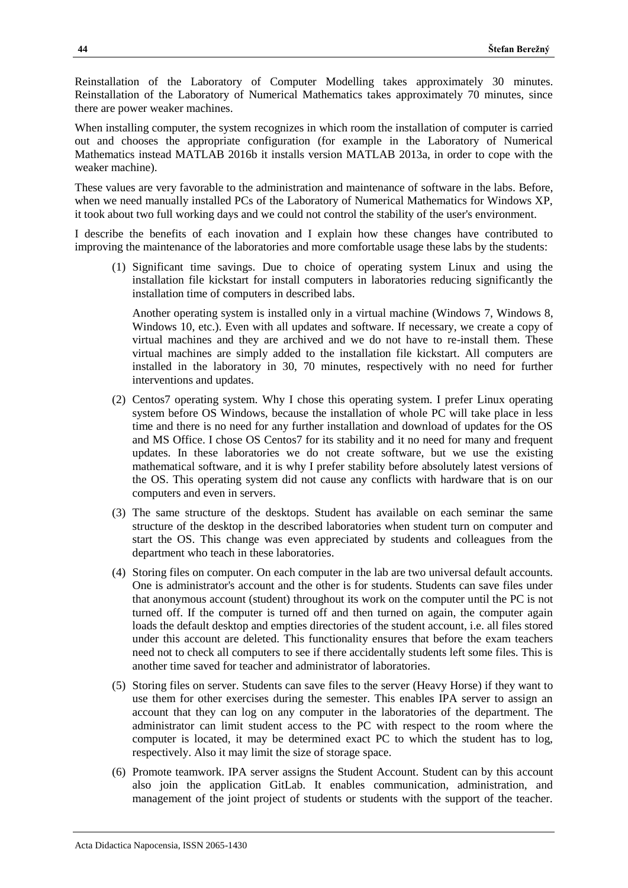Reinstallation of the Laboratory of Computer Modelling takes approximately 30 minutes. Reinstallation of the Laboratory of Numerical Mathematics takes approximately 70 minutes, since there are power weaker machines.

When installing computer, the system recognizes in which room the installation of computer is carried out and chooses the appropriate configuration (for example in the Laboratory of Numerical Mathematics instead MATLAB 2016b it installs version MATLAB 2013a, in order to cope with the weaker machine).

These values are very favorable to the administration and maintenance of software in the labs. Before, when we need manually installed PCs of the Laboratory of Numerical Mathematics for Windows XP, it took about two full working days and we could not control the stability of the user's environment.

I describe the benefits of each inovation and I explain how these changes have contributed to improving the maintenance of the laboratories and more comfortable usage these labs by the students:

(1) Significant time savings. Due to choice of operating system Linux and using the installation file kickstart for install computers in laboratories reducing significantly the installation time of computers in described labs.

Another operating system is installed only in a virtual machine (Windows 7, Windows 8, Windows 10, etc.). Even with all updates and software. If necessary, we create a copy of virtual machines and they are archived and we do not have to re-install them. These virtual machines are simply added to the installation file kickstart. All computers are installed in the laboratory in 30, 70 minutes, respectively with no need for further interventions and updates.

- (2) Centos7 operating system. Why I chose this operating system. I prefer Linux operating system before OS Windows, because the installation of whole PC will take place in less time and there is no need for any further installation and download of updates for the OS and MS Office. I chose OS Centos7 for its stability and it no need for many and frequent updates. In these laboratories we do not create software, but we use the existing mathematical software, and it is why I prefer stability before absolutely latest versions of the OS. This operating system did not cause any conflicts with hardware that is on our computers and even in servers.
- (3) The same structure of the desktops. Student has available on each seminar the same structure of the desktop in the described laboratories when student turn on computer and start the OS. This change was even appreciated by students and colleagues from the department who teach in these laboratories.
- (4) Storing files on computer. On each computer in the lab are two universal default accounts. One is administrator's account and the other is for students. Students can save files under that anonymous account (student) throughout its work on the computer until the PC is not turned off. If the computer is turned off and then turned on again, the computer again loads the default desktop and empties directories of the student account, i.e. all files stored under this account are deleted. This functionality ensures that before the exam teachers need not to check all computers to see if there accidentally students left some files. This is another time saved for teacher and administrator of laboratories.
- (5) Storing files on server. Students can save files to the server (Heavy Horse) if they want to use them for other exercises during the semester. This enables IPA server to assign an account that they can log on any computer in the laboratories of the department. The administrator can limit student access to the PC with respect to the room where the computer is located, it may be determined exact PC to which the student has to log, respectively. Also it may limit the size of storage space.
- (6) Promote teamwork. IPA server assigns the Student Account. Student can by this account also join the application GitLab. It enables communication, administration, and management of the joint project of students or students with the support of the teacher.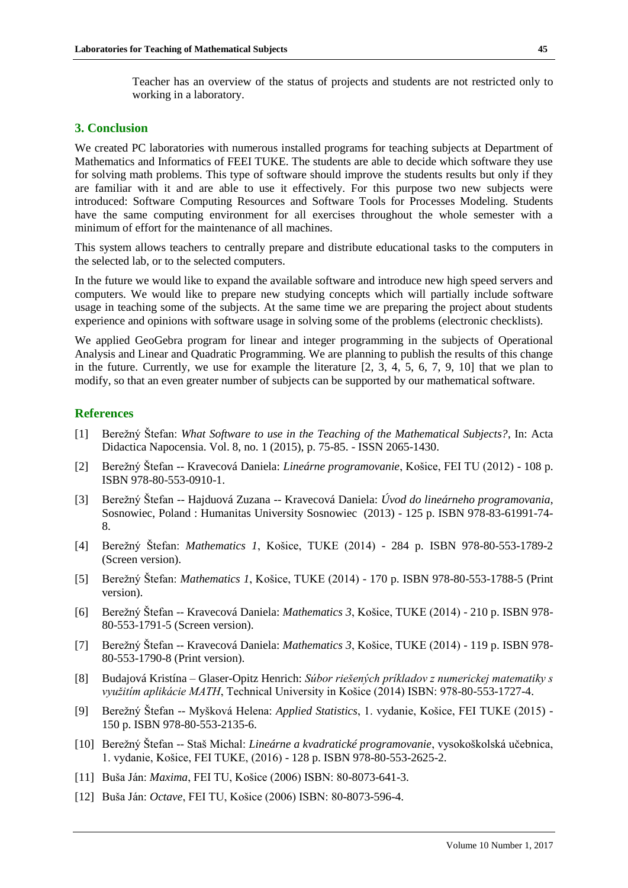Teacher has an overview of the status of projects and students are not restricted only to working in a laboratory.

# **3. Conclusion**

We created PC laboratories with numerous installed programs for teaching subjects at Department of Mathematics and Informatics of FEEI TUKE. The students are able to decide which software they use for solving math problems. This type of software should improve the students results but only if they are familiar with it and are able to use it effectively. For this purpose two new subjects were introduced: Software Computing Resources and Software Tools for Processes Modeling. Students have the same computing environment for all exercises throughout the whole semester with a minimum of effort for the maintenance of all machines.

This system allows teachers to centrally prepare and distribute educational tasks to the computers in the selected lab, or to the selected computers.

In the future we would like to expand the available software and introduce new high speed servers and computers. We would like to prepare new studying concepts which will partially include software usage in teaching some of the subjects. At the same time we are preparing the project about students experience and opinions with software usage in solving some of the problems (electronic checklists).

We applied GeoGebra program for linear and integer programming in the subjects of Operational Analysis and Linear and Quadratic Programming. We are planning to publish the results of this change in the future. Currently, we use for example the literature [2, 3, 4, 5, 6, 7, 9, 10] that we plan to modify, so that an even greater number of subjects can be supported by our mathematical software.

# **References**

- [1] Berežný Štefan: *What Software to use in the Teaching of the Mathematical Subjects?*, In: Acta Didactica Napocensia. Vol. 8, no. 1 (2015), p. 75-85. - ISSN 2065-1430.
- [2] Berežný Štefan -- Kravecová Daniela: *Lineárne programovanie*, Košice, FEI TU (2012) 108 p. ISBN 978-80-553-0910-1.
- [3] Berežný Štefan -- Hajduová Zuzana -- Kravecová Daniela: *Úvod do lineárneho programovania*, Sosnowiec, Poland : Humanitas University Sosnowiec (2013) - 125 p. ISBN 978-83-61991-74- 8.
- [4] Berežný Štefan: *Mathematics 1*, Košice, TUKE (2014) 284 p. ISBN 978-80-553-1789-2 (Screen version).
- [5] Berežný Štefan: *Mathematics 1*, Košice, TUKE (2014) 170 p. ISBN 978-80-553-1788-5 (Print version).
- [6] Berežný Štefan -- Kravecová Daniela: *Mathematics 3*, Košice, TUKE (2014) 210 p. ISBN 978- 80-553-1791-5 (Screen version).
- [7] Berežný Štefan -- Kravecová Daniela: *Mathematics 3*, Košice, TUKE (2014) 119 p. ISBN 978- 80-553-1790-8 (Print version).
- [8] Budajová Kristína Glaser-Opitz Henrich: *Súbor riešených príkladov z numerickej matematiky s využitím aplikácie MATH*, Technical University in Košice (2014) ISBN: 978-80-553-1727-4.
- [9] Berežný Štefan -- Myšková Helena: *Applied Statistics*, 1. vydanie, Košice, FEI TUKE (2015) 150 p. ISBN 978-80-553-2135-6.
- [10] Berežný Štefan -- Staš Michal: *Lineárne a kvadratické programovanie*, vysokoškolská učebnica, 1. vydanie, Košice, FEI TUKE, (2016) - 128 p. ISBN 978-80-553-2625-2.
- [11] Buša Ján: *Maxima*, FEI TU, Košice (2006) ISBN: 80-8073-641-3.
- [12] Buša Ján: *Octave*, FEI TU, Košice (2006) ISBN: 80-8073-596-4.